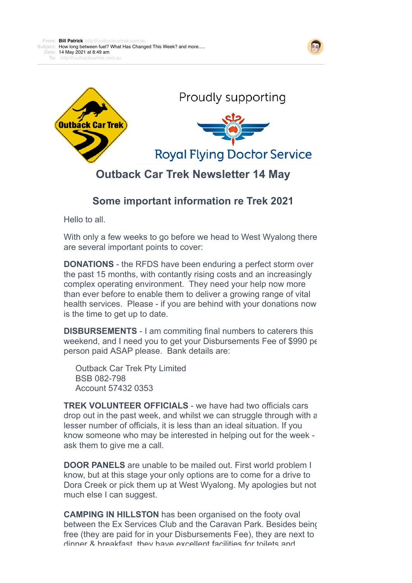





## **Outback Car Trek Newsletter 14 May**

## **Some important information re Trek 2021**

Hello to all.

With only a few weeks to go before we head to West Wyalong there are several important points to cover:

**DONATIONS** - the RFDS have been enduring a perfect storm over the past 15 months, with contantly rising costs and an increasingly complex operating environment. They need your help now more than ever before to enable them to deliver a growing range of vital health services. Please - if you are behind with your donations now is the time to get up to date.

**DISBURSEMENTS** - I am commiting final numbers to caterers this weekend, and I need you to get your Disbursements Fee of \$990 per person paid ASAP please. Bank details are:

 Outback Car Trek Pty Limited BSB 082-798 Account 57432 0353

**TREK VOLUNTEER OFFICIALS** - we have had two officials cars drop out in the past week, and whilst we can struggle through with a lesser number of officials, it is less than an ideal situation. If you know someone who may be interested in helping out for the week ask them to give me a call.

**DOOR PANELS** are unable to be mailed out. First world problem I know, but at this stage your only options are to come for a drive to Dora Creek or pick them up at West Wyalong. My apologies but not much else I can suggest.

**CAMPING IN HILLSTON** has been organised on the footy oval between the Ex Services Club and the Caravan Park. Besides being free (they are paid for in your Disbursements Fee), they are next to dinner & breakfast, they have excellent facilities for toilets and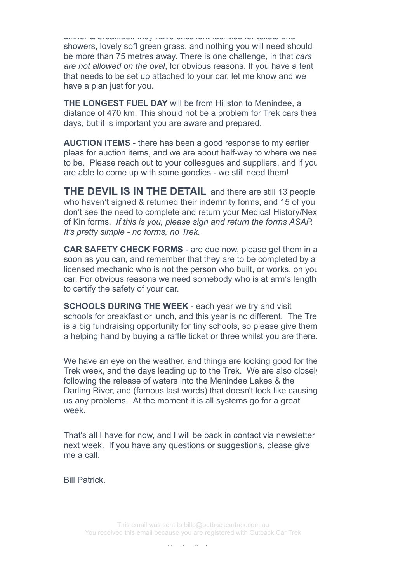dinner & breakfast, they have excellent facilities for toilets and showers, lovely soft green grass, and nothing you will need should be more than 75 metres away. There is one challenge, in that *cars are not allowed on the oval*, for obvious reasons. If you have a tent that needs to be set up attached to your car, let me know and we have a plan just for you.

**THE LONGEST FUEL DAY** will be from Hillston to Menindee, a distance of 470 km. This should not be a problem for Trek cars thes days, but it is important you are aware and prepared.

**AUCTION ITEMS** - there has been a good response to my earlier pleas for auction items, and we are about half-way to where we nee to be. Please reach out to your colleagues and suppliers, and if you are able to come up with some goodies - we still need them!

**THE DEVIL IS IN THE DETAIL** and there are still 13 people who haven't signed & returned their indemnity forms, and 15 of you don't see the need to complete and return your Medical History/Nex of Kin forms. *If this is you, please sign and return the forms ASAP. It's pretty simple - no forms, no Trek.*

**CAR SAFETY CHECK FORMS** - are due now, please get them in a soon as you can, and remember that they are to be completed by a licensed mechanic who is not the person who built, or works, on you car. For obvious reasons we need somebody who is at arm's length to certify the safety of your car.

**SCHOOLS DURING THE WEEK** - each year we try and visit schools for breakfast or lunch, and this year is no different. The Tre is a big fundraising opportunity for tiny schools, so please give them a helping hand by buying a raffle ticket or three whilst you are there.

We have an eye on the weather, and things are looking good for the Trek week, and the days leading up to the Trek. We are also closely following the release of waters into the Menindee Lakes & the Darling River, and (famous last words) that doesn't look like causing us any problems. At the moment it is all systems go for a great week.

That's all I have for now, and I will be back in contact via newsletter next week. If you have any questions or suggestions, please give me a call.

Bill Patrick.